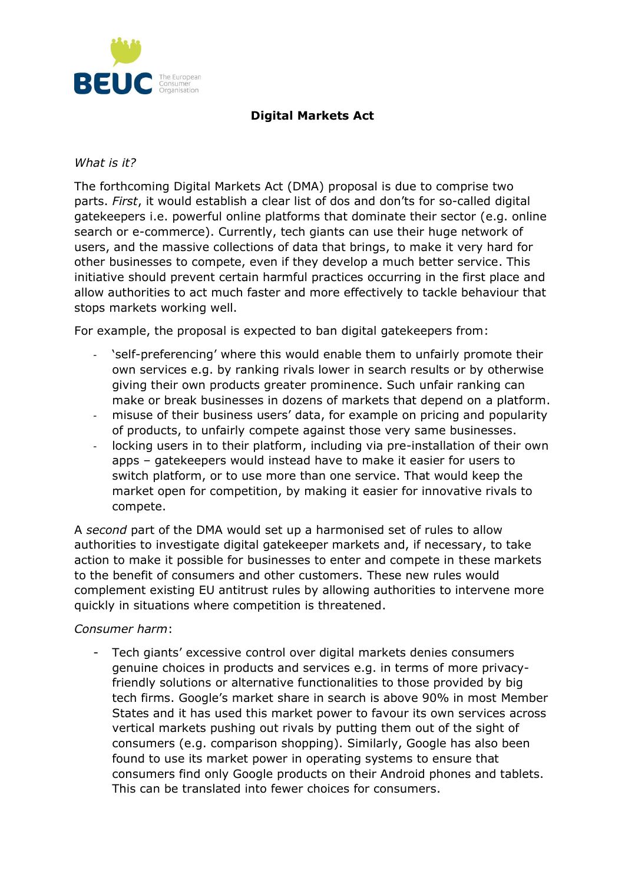

## **Digital Markets Act**

## *What is it?*

The forthcoming Digital Markets Act (DMA) proposal is due to comprise two parts. *First*, it would establish a clear list of dos and don'ts for so-called digital gatekeepers i.e. powerful online platforms that dominate their sector (e.g. online search or e-commerce). Currently, tech giants can use their huge network of users, and the massive collections of data that brings, to make it very hard for other businesses to compete, even if they develop a much better service. This initiative should prevent certain harmful practices occurring in the first place and allow authorities to act much faster and more effectively to tackle behaviour that stops markets working well.

For example, the proposal is expected to ban digital gatekeepers from:

- 'self-preferencing' where this would enable them to unfairly promote their own services e.g. by ranking rivals lower in search results or by otherwise giving their own products greater prominence. Such unfair ranking can make or break businesses in dozens of markets that depend on a platform.
- misuse of their business users' data, for example on pricing and popularity of products, to unfairly compete against those very same businesses.
- locking users in to their platform, including via pre-installation of their own apps – gatekeepers would instead have to make it easier for users to switch platform, or to use more than one service. That would keep the market open for competition, by making it easier for innovative rivals to compete.

A *second* part of the DMA would set up a harmonised set of rules to allow authorities to investigate digital gatekeeper markets and, if necessary, to take action to make it possible for businesses to enter and compete in these markets to the benefit of consumers and other customers. These new rules would complement existing EU antitrust rules by allowing authorities to intervene more quickly in situations where competition is threatened.

## *Consumer harm*:

- Tech giants' excessive control over digital markets denies consumers genuine choices in products and services e.g. in terms of more privacyfriendly solutions or alternative functionalities to those provided by big tech firms. Google's market share in search is above 90% in most Member States and it has used this market power to favour its own services across vertical markets pushing out rivals by putting them out of the sight of consumers (e.g. comparison shopping). Similarly, Google has also been found to use its market power in operating systems to ensure that consumers find only Google products on their Android phones and tablets. This can be translated into fewer choices for consumers.